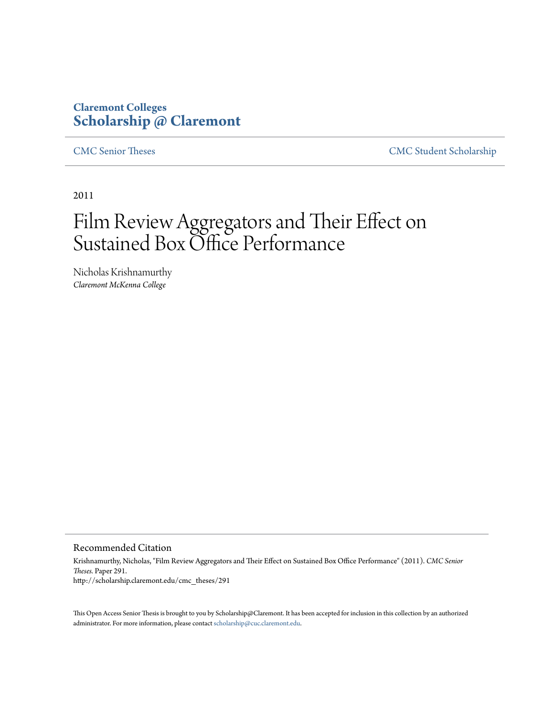# **Claremont Colleges [Scholarship @ Claremont](http://scholarship.claremont.edu)**

[CMC Senior Theses](http://scholarship.claremont.edu/cmc_theses) [CMC Student Scholarship](http://scholarship.claremont.edu/cmc_student)

2011

# Film Review Aggregators and Their Effect on Sustained Box Office Performance

Nicholas Krishnamurthy *Claremont McKenna College*

#### Recommended Citation

Krishnamurthy, Nicholas, "Film Review Aggregators and Their Effect on Sustained Box Office Performance" (2011). *CMC Senior Theses.* Paper 291. http://scholarship.claremont.edu/cmc\_theses/291

This Open Access Senior Thesis is brought to you by Scholarship@Claremont. It has been accepted for inclusion in this collection by an authorized administrator. For more information, please contact [scholarship@cuc.claremont.edu.](mailto:scholarship@cuc.claremont.edu)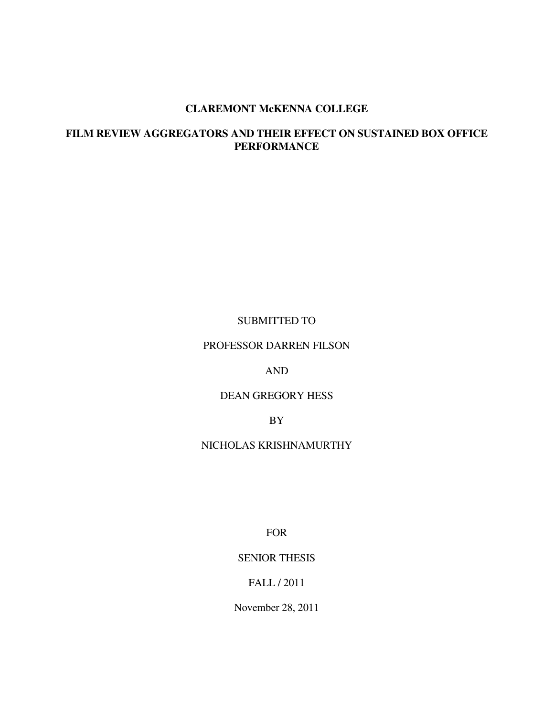#### **CLAREMONT McKENNA COLLEGE**

# **FILM REVIEW AGGREGATORS AND THEIR EFFECT ON SUSTAINED BOX OFFICE PERFORMANCE**

#### SUBMITTED TO

PROFESSOR DARREN FILSON

#### AND

### DEAN GREGORY HESS

BY

#### NICHOLAS KRISHNAMURTHY

FOR

## SENIOR THESIS

# FALL / 2011

November 28, 2011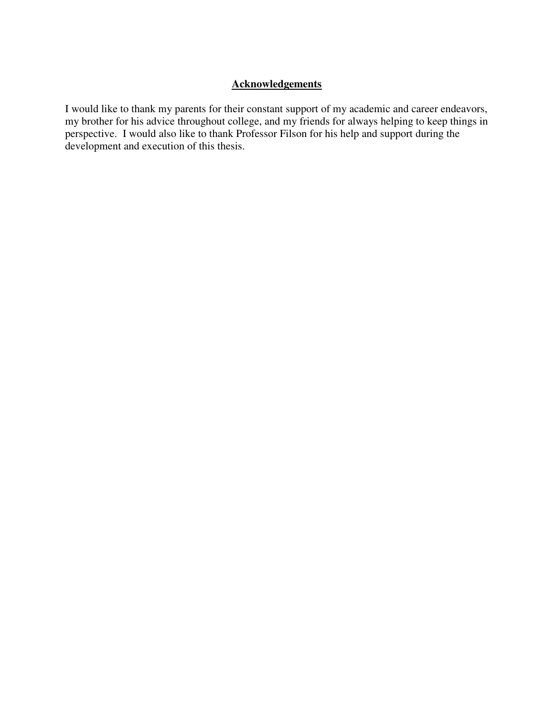# **Acknowledgements**

I would like to thank my parents for their constant support of my academic and career endeavors, my brother for his advice throughout college, and my friends for always helping to keep things in perspective. I would also like to thank Professor Filson for his help and support during the development and execution of this thesis.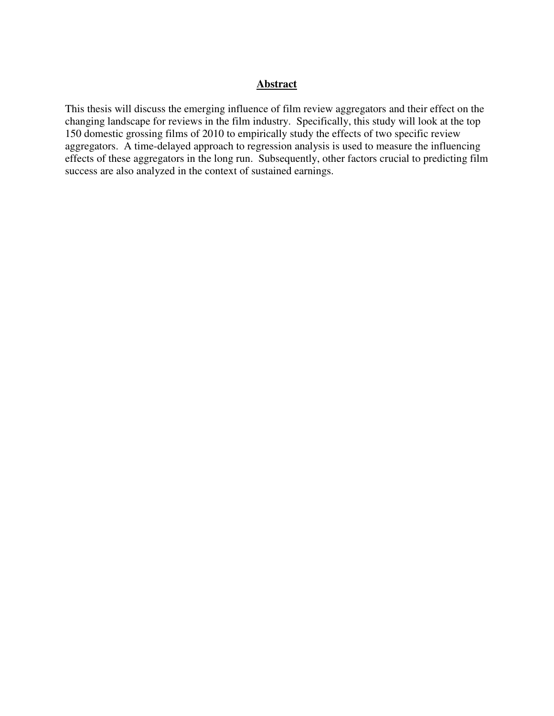#### **Abstract**

This thesis will discuss the emerging influence of film review aggregators and their effect on the changing landscape for reviews in the film industry. Specifically, this study will look at the top 150 domestic grossing films of 2010 to empirically study the effects of two specific review aggregators. A time-delayed approach to regression analysis is used to measure the influencing effects of these aggregators in the long run. Subsequently, other factors crucial to predicting film success are also analyzed in the context of sustained earnings.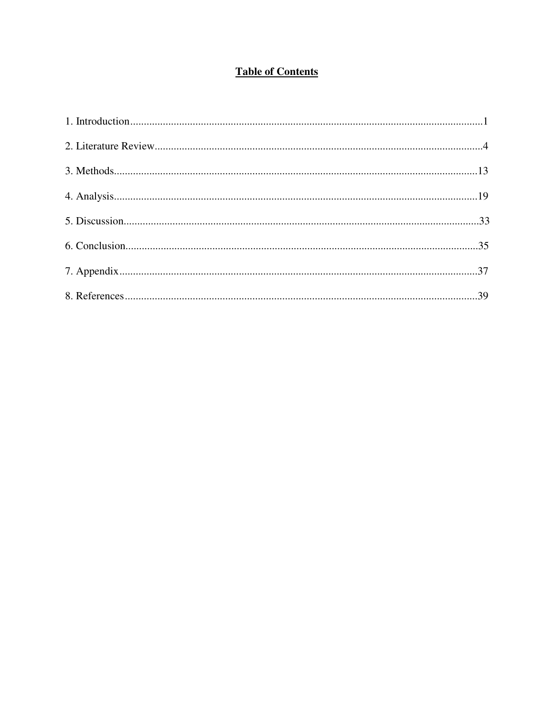# **Table of Contents**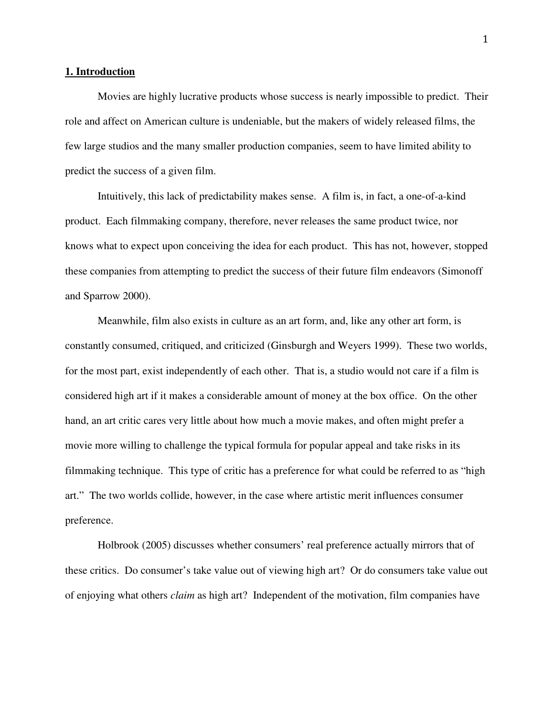#### **1. Introduction**

 Movies are highly lucrative products whose success is nearly impossible to predict. Their role and affect on American culture is undeniable, but the makers of widely released films, the few large studios and the many smaller production companies, seem to have limited ability to predict the success of a given film.

Intuitively, this lack of predictability makes sense. A film is, in fact, a one-of-a-kind product. Each filmmaking company, therefore, never releases the same product twice, nor knows what to expect upon conceiving the idea for each product. This has not, however, stopped these companies from attempting to predict the success of their future film endeavors (Simonoff and Sparrow 2000).

Meanwhile, film also exists in culture as an art form, and, like any other art form, is constantly consumed, critiqued, and criticized (Ginsburgh and Weyers 1999). These two worlds, for the most part, exist independently of each other. That is, a studio would not care if a film is considered high art if it makes a considerable amount of money at the box office. On the other hand, an art critic cares very little about how much a movie makes, and often might prefer a movie more willing to challenge the typical formula for popular appeal and take risks in its filmmaking technique. This type of critic has a preference for what could be referred to as "high art." The two worlds collide, however, in the case where artistic merit influences consumer preference.

Holbrook (2005) discusses whether consumers' real preference actually mirrors that of these critics. Do consumer's take value out of viewing high art? Or do consumers take value out of enjoying what others *claim* as high art? Independent of the motivation, film companies have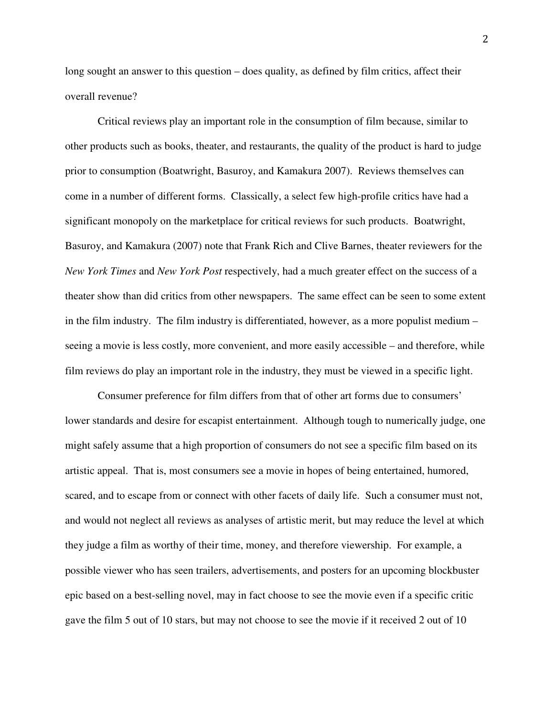long sought an answer to this question – does quality, as defined by film critics, affect their overall revenue?

Critical reviews play an important role in the consumption of film because, similar to other products such as books, theater, and restaurants, the quality of the product is hard to judge prior to consumption (Boatwright, Basuroy, and Kamakura 2007). Reviews themselves can come in a number of different forms. Classically, a select few high-profile critics have had a significant monopoly on the marketplace for critical reviews for such products. Boatwright, Basuroy, and Kamakura (2007) note that Frank Rich and Clive Barnes, theater reviewers for the *New York Times* and *New York Post* respectively, had a much greater effect on the success of a theater show than did critics from other newspapers. The same effect can be seen to some extent in the film industry. The film industry is differentiated, however, as a more populist medium – seeing a movie is less costly, more convenient, and more easily accessible – and therefore, while film reviews do play an important role in the industry, they must be viewed in a specific light.

Consumer preference for film differs from that of other art forms due to consumers' lower standards and desire for escapist entertainment. Although tough to numerically judge, one might safely assume that a high proportion of consumers do not see a specific film based on its artistic appeal. That is, most consumers see a movie in hopes of being entertained, humored, scared, and to escape from or connect with other facets of daily life. Such a consumer must not, and would not neglect all reviews as analyses of artistic merit, but may reduce the level at which they judge a film as worthy of their time, money, and therefore viewership. For example, a possible viewer who has seen trailers, advertisements, and posters for an upcoming blockbuster epic based on a best-selling novel, may in fact choose to see the movie even if a specific critic gave the film 5 out of 10 stars, but may not choose to see the movie if it received 2 out of 10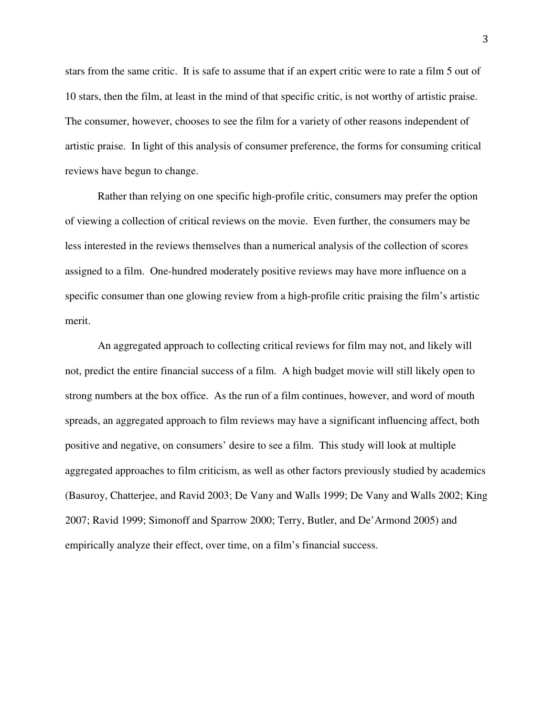stars from the same critic. It is safe to assume that if an expert critic were to rate a film 5 out of 10 stars, then the film, at least in the mind of that specific critic, is not worthy of artistic praise. The consumer, however, chooses to see the film for a variety of other reasons independent of artistic praise. In light of this analysis of consumer preference, the forms for consuming critical reviews have begun to change.

Rather than relying on one specific high-profile critic, consumers may prefer the option of viewing a collection of critical reviews on the movie. Even further, the consumers may be less interested in the reviews themselves than a numerical analysis of the collection of scores assigned to a film. One-hundred moderately positive reviews may have more influence on a specific consumer than one glowing review from a high-profile critic praising the film's artistic merit.

An aggregated approach to collecting critical reviews for film may not, and likely will not, predict the entire financial success of a film. A high budget movie will still likely open to strong numbers at the box office. As the run of a film continues, however, and word of mouth spreads, an aggregated approach to film reviews may have a significant influencing affect, both positive and negative, on consumers' desire to see a film. This study will look at multiple aggregated approaches to film criticism, as well as other factors previously studied by academics (Basuroy, Chatterjee, and Ravid 2003; De Vany and Walls 1999; De Vany and Walls 2002; King 2007; Ravid 1999; Simonoff and Sparrow 2000; Terry, Butler, and De'Armond 2005) and empirically analyze their effect, over time, on a film's financial success.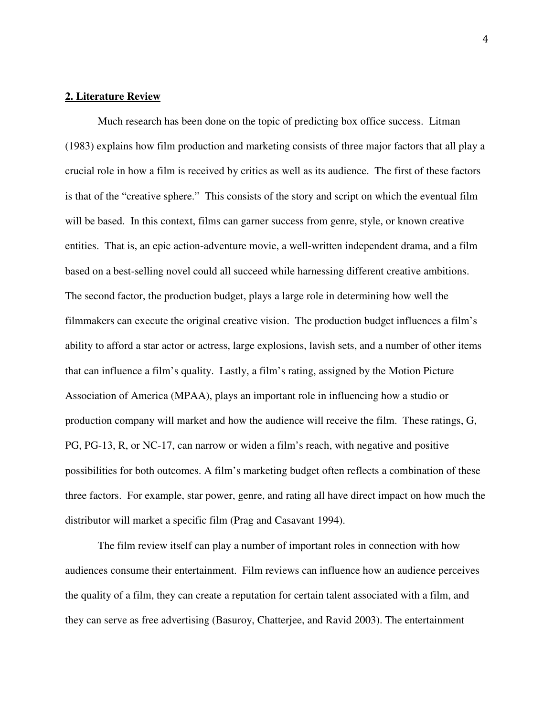#### **2. Literature Review**

Much research has been done on the topic of predicting box office success. Litman (1983) explains how film production and marketing consists of three major factors that all play a crucial role in how a film is received by critics as well as its audience. The first of these factors is that of the "creative sphere." This consists of the story and script on which the eventual film will be based. In this context, films can garner success from genre, style, or known creative entities. That is, an epic action-adventure movie, a well-written independent drama, and a film based on a best-selling novel could all succeed while harnessing different creative ambitions. The second factor, the production budget, plays a large role in determining how well the filmmakers can execute the original creative vision. The production budget influences a film's ability to afford a star actor or actress, large explosions, lavish sets, and a number of other items that can influence a film's quality. Lastly, a film's rating, assigned by the Motion Picture Association of America (MPAA), plays an important role in influencing how a studio or production company will market and how the audience will receive the film. These ratings, G, PG, PG-13, R, or NC-17, can narrow or widen a film's reach, with negative and positive possibilities for both outcomes. A film's marketing budget often reflects a combination of these three factors. For example, star power, genre, and rating all have direct impact on how much the distributor will market a specific film (Prag and Casavant 1994).

 The film review itself can play a number of important roles in connection with how audiences consume their entertainment. Film reviews can influence how an audience perceives the quality of a film, they can create a reputation for certain talent associated with a film, and they can serve as free advertising (Basuroy, Chatterjee, and Ravid 2003). The entertainment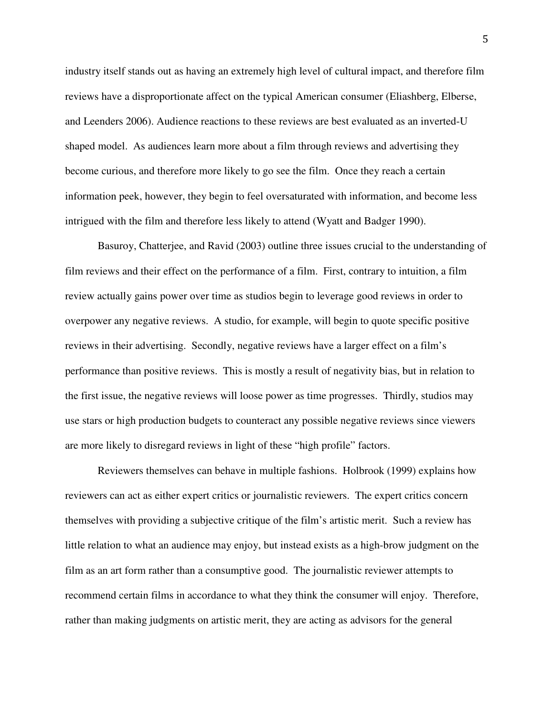industry itself stands out as having an extremely high level of cultural impact, and therefore film reviews have a disproportionate affect on the typical American consumer (Eliashberg, Elberse, and Leenders 2006). Audience reactions to these reviews are best evaluated as an inverted-U shaped model. As audiences learn more about a film through reviews and advertising they become curious, and therefore more likely to go see the film. Once they reach a certain information peek, however, they begin to feel oversaturated with information, and become less intrigued with the film and therefore less likely to attend (Wyatt and Badger 1990).

 Basuroy, Chatterjee, and Ravid (2003) outline three issues crucial to the understanding of film reviews and their effect on the performance of a film. First, contrary to intuition, a film review actually gains power over time as studios begin to leverage good reviews in order to overpower any negative reviews. A studio, for example, will begin to quote specific positive reviews in their advertising. Secondly, negative reviews have a larger effect on a film's performance than positive reviews. This is mostly a result of negativity bias, but in relation to the first issue, the negative reviews will loose power as time progresses. Thirdly, studios may use stars or high production budgets to counteract any possible negative reviews since viewers are more likely to disregard reviews in light of these "high profile" factors.

 Reviewers themselves can behave in multiple fashions. Holbrook (1999) explains how reviewers can act as either expert critics or journalistic reviewers. The expert critics concern themselves with providing a subjective critique of the film's artistic merit. Such a review has little relation to what an audience may enjoy, but instead exists as a high-brow judgment on the film as an art form rather than a consumptive good. The journalistic reviewer attempts to recommend certain films in accordance to what they think the consumer will enjoy. Therefore, rather than making judgments on artistic merit, they are acting as advisors for the general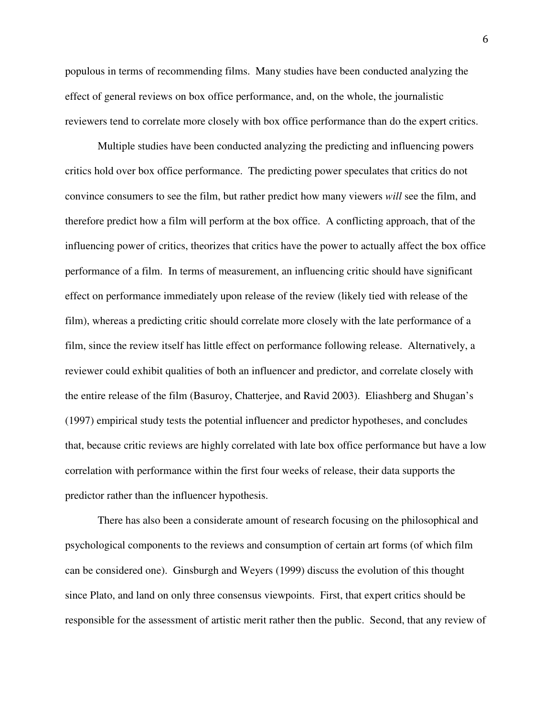populous in terms of recommending films. Many studies have been conducted analyzing the effect of general reviews on box office performance, and, on the whole, the journalistic reviewers tend to correlate more closely with box office performance than do the expert critics.

 Multiple studies have been conducted analyzing the predicting and influencing powers critics hold over box office performance. The predicting power speculates that critics do not convince consumers to see the film, but rather predict how many viewers *will* see the film, and therefore predict how a film will perform at the box office. A conflicting approach, that of the influencing power of critics, theorizes that critics have the power to actually affect the box office performance of a film. In terms of measurement, an influencing critic should have significant effect on performance immediately upon release of the review (likely tied with release of the film), whereas a predicting critic should correlate more closely with the late performance of a film, since the review itself has little effect on performance following release. Alternatively, a reviewer could exhibit qualities of both an influencer and predictor, and correlate closely with the entire release of the film (Basuroy, Chatterjee, and Ravid 2003). Eliashberg and Shugan's (1997) empirical study tests the potential influencer and predictor hypotheses, and concludes that, because critic reviews are highly correlated with late box office performance but have a low correlation with performance within the first four weeks of release, their data supports the predictor rather than the influencer hypothesis.

 There has also been a considerate amount of research focusing on the philosophical and psychological components to the reviews and consumption of certain art forms (of which film can be considered one). Ginsburgh and Weyers (1999) discuss the evolution of this thought since Plato, and land on only three consensus viewpoints. First, that expert critics should be responsible for the assessment of artistic merit rather then the public. Second, that any review of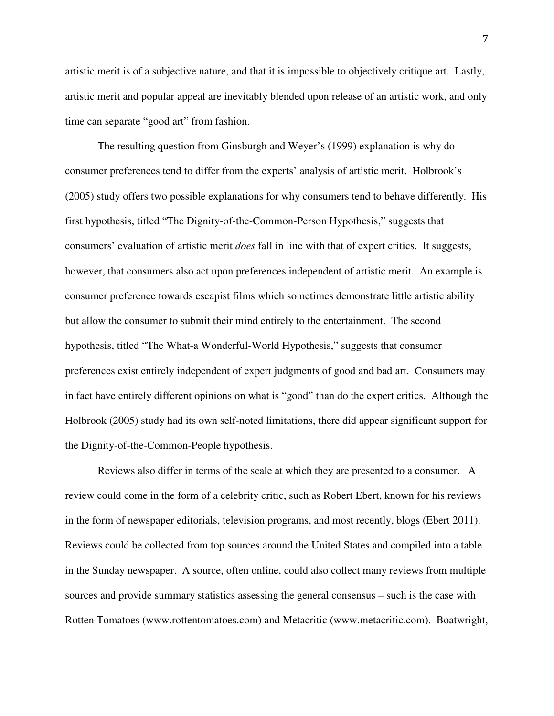artistic merit is of a subjective nature, and that it is impossible to objectively critique art. Lastly, artistic merit and popular appeal are inevitably blended upon release of an artistic work, and only time can separate "good art" from fashion.

 The resulting question from Ginsburgh and Weyer's (1999) explanation is why do consumer preferences tend to differ from the experts' analysis of artistic merit. Holbrook's (2005) study offers two possible explanations for why consumers tend to behave differently. His first hypothesis, titled "The Dignity-of-the-Common-Person Hypothesis," suggests that consumers' evaluation of artistic merit *does* fall in line with that of expert critics. It suggests, however, that consumers also act upon preferences independent of artistic merit. An example is consumer preference towards escapist films which sometimes demonstrate little artistic ability but allow the consumer to submit their mind entirely to the entertainment. The second hypothesis, titled "The What-a Wonderful-World Hypothesis," suggests that consumer preferences exist entirely independent of expert judgments of good and bad art. Consumers may in fact have entirely different opinions on what is "good" than do the expert critics. Although the Holbrook (2005) study had its own self-noted limitations, there did appear significant support for the Dignity-of-the-Common-People hypothesis.

 Reviews also differ in terms of the scale at which they are presented to a consumer. A review could come in the form of a celebrity critic, such as Robert Ebert, known for his reviews in the form of newspaper editorials, television programs, and most recently, blogs (Ebert 2011). Reviews could be collected from top sources around the United States and compiled into a table in the Sunday newspaper. A source, often online, could also collect many reviews from multiple sources and provide summary statistics assessing the general consensus – such is the case with Rotten Tomatoes (www.rottentomatoes.com) and Metacritic (www.metacritic.com). Boatwright,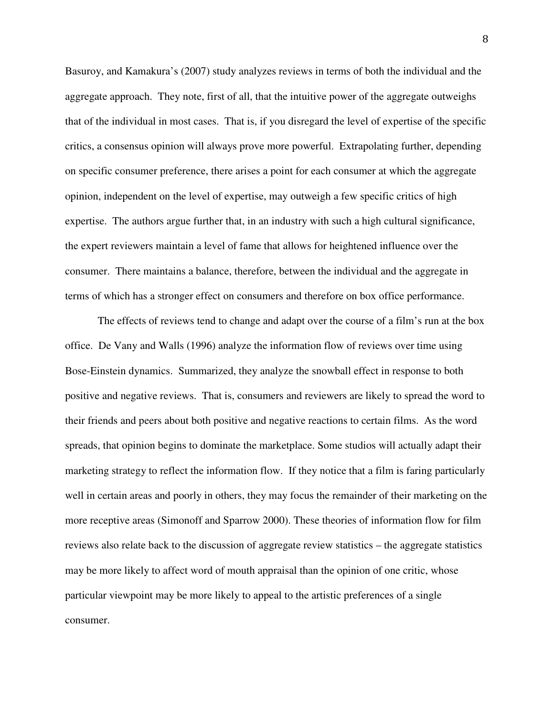Basuroy, and Kamakura's (2007) study analyzes reviews in terms of both the individual and the aggregate approach. They note, first of all, that the intuitive power of the aggregate outweighs that of the individual in most cases. That is, if you disregard the level of expertise of the specific critics, a consensus opinion will always prove more powerful. Extrapolating further, depending on specific consumer preference, there arises a point for each consumer at which the aggregate opinion, independent on the level of expertise, may outweigh a few specific critics of high expertise. The authors argue further that, in an industry with such a high cultural significance, the expert reviewers maintain a level of fame that allows for heightened influence over the consumer. There maintains a balance, therefore, between the individual and the aggregate in terms of which has a stronger effect on consumers and therefore on box office performance.

 The effects of reviews tend to change and adapt over the course of a film's run at the box office. De Vany and Walls (1996) analyze the information flow of reviews over time using Bose-Einstein dynamics. Summarized, they analyze the snowball effect in response to both positive and negative reviews. That is, consumers and reviewers are likely to spread the word to their friends and peers about both positive and negative reactions to certain films. As the word spreads, that opinion begins to dominate the marketplace. Some studios will actually adapt their marketing strategy to reflect the information flow. If they notice that a film is faring particularly well in certain areas and poorly in others, they may focus the remainder of their marketing on the more receptive areas (Simonoff and Sparrow 2000). These theories of information flow for film reviews also relate back to the discussion of aggregate review statistics – the aggregate statistics may be more likely to affect word of mouth appraisal than the opinion of one critic, whose particular viewpoint may be more likely to appeal to the artistic preferences of a single consumer.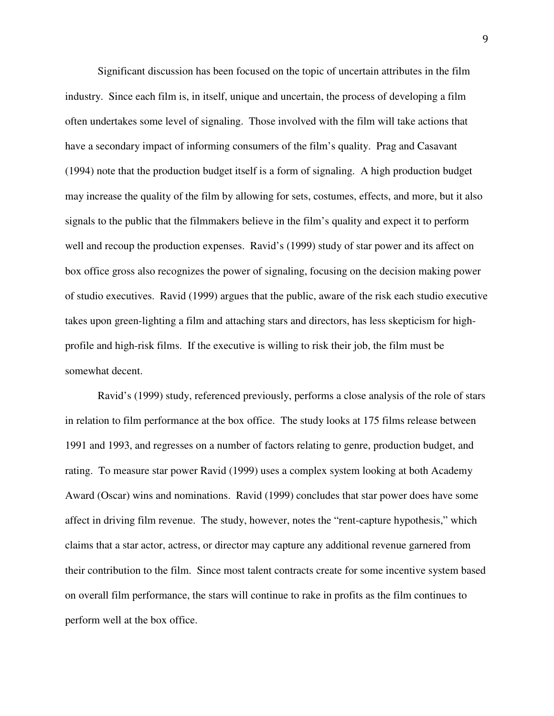Significant discussion has been focused on the topic of uncertain attributes in the film industry. Since each film is, in itself, unique and uncertain, the process of developing a film often undertakes some level of signaling. Those involved with the film will take actions that have a secondary impact of informing consumers of the film's quality. Prag and Casavant (1994) note that the production budget itself is a form of signaling. A high production budget may increase the quality of the film by allowing for sets, costumes, effects, and more, but it also signals to the public that the filmmakers believe in the film's quality and expect it to perform well and recoup the production expenses. Ravid's (1999) study of star power and its affect on box office gross also recognizes the power of signaling, focusing on the decision making power of studio executives. Ravid (1999) argues that the public, aware of the risk each studio executive takes upon green-lighting a film and attaching stars and directors, has less skepticism for highprofile and high-risk films. If the executive is willing to risk their job, the film must be somewhat decent.

 Ravid's (1999) study, referenced previously, performs a close analysis of the role of stars in relation to film performance at the box office. The study looks at 175 films release between 1991 and 1993, and regresses on a number of factors relating to genre, production budget, and rating. To measure star power Ravid (1999) uses a complex system looking at both Academy Award (Oscar) wins and nominations. Ravid (1999) concludes that star power does have some affect in driving film revenue. The study, however, notes the "rent-capture hypothesis," which claims that a star actor, actress, or director may capture any additional revenue garnered from their contribution to the film. Since most talent contracts create for some incentive system based on overall film performance, the stars will continue to rake in profits as the film continues to perform well at the box office.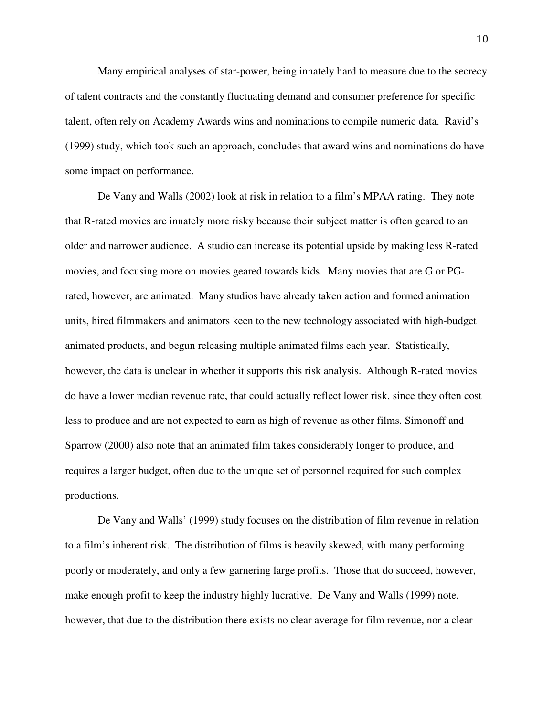Many empirical analyses of star-power, being innately hard to measure due to the secrecy of talent contracts and the constantly fluctuating demand and consumer preference for specific talent, often rely on Academy Awards wins and nominations to compile numeric data. Ravid's (1999) study, which took such an approach, concludes that award wins and nominations do have some impact on performance.

 De Vany and Walls (2002) look at risk in relation to a film's MPAA rating. They note that R-rated movies are innately more risky because their subject matter is often geared to an older and narrower audience. A studio can increase its potential upside by making less R-rated movies, and focusing more on movies geared towards kids. Many movies that are G or PGrated, however, are animated. Many studios have already taken action and formed animation units, hired filmmakers and animators keen to the new technology associated with high-budget animated products, and begun releasing multiple animated films each year. Statistically, however, the data is unclear in whether it supports this risk analysis. Although R-rated movies do have a lower median revenue rate, that could actually reflect lower risk, since they often cost less to produce and are not expected to earn as high of revenue as other films. Simonoff and Sparrow (2000) also note that an animated film takes considerably longer to produce, and requires a larger budget, often due to the unique set of personnel required for such complex productions.

 De Vany and Walls' (1999) study focuses on the distribution of film revenue in relation to a film's inherent risk. The distribution of films is heavily skewed, with many performing poorly or moderately, and only a few garnering large profits. Those that do succeed, however, make enough profit to keep the industry highly lucrative. De Vany and Walls (1999) note, however, that due to the distribution there exists no clear average for film revenue, nor a clear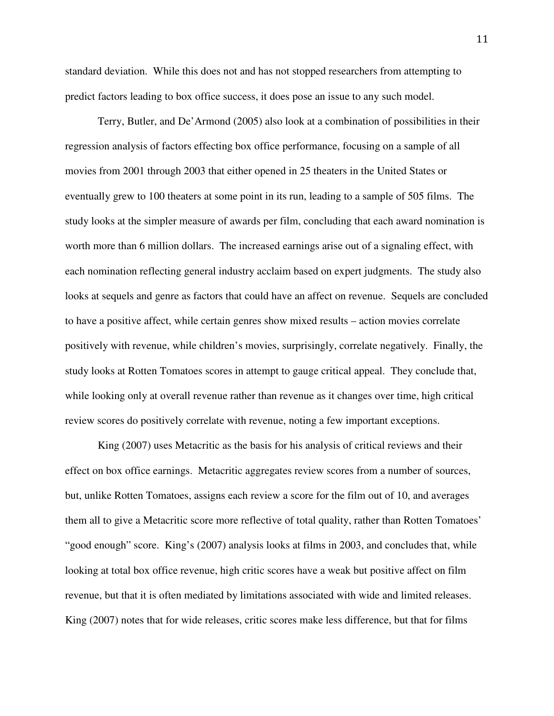standard deviation. While this does not and has not stopped researchers from attempting to predict factors leading to box office success, it does pose an issue to any such model.

Terry, Butler, and De'Armond (2005) also look at a combination of possibilities in their regression analysis of factors effecting box office performance, focusing on a sample of all movies from 2001 through 2003 that either opened in 25 theaters in the United States or eventually grew to 100 theaters at some point in its run, leading to a sample of 505 films. The study looks at the simpler measure of awards per film, concluding that each award nomination is worth more than 6 million dollars. The increased earnings arise out of a signaling effect, with each nomination reflecting general industry acclaim based on expert judgments. The study also looks at sequels and genre as factors that could have an affect on revenue. Sequels are concluded to have a positive affect, while certain genres show mixed results – action movies correlate positively with revenue, while children's movies, surprisingly, correlate negatively. Finally, the study looks at Rotten Tomatoes scores in attempt to gauge critical appeal. They conclude that, while looking only at overall revenue rather than revenue as it changes over time, high critical review scores do positively correlate with revenue, noting a few important exceptions.

King (2007) uses Metacritic as the basis for his analysis of critical reviews and their effect on box office earnings. Metacritic aggregates review scores from a number of sources, but, unlike Rotten Tomatoes, assigns each review a score for the film out of 10, and averages them all to give a Metacritic score more reflective of total quality, rather than Rotten Tomatoes' "good enough" score. King's (2007) analysis looks at films in 2003, and concludes that, while looking at total box office revenue, high critic scores have a weak but positive affect on film revenue, but that it is often mediated by limitations associated with wide and limited releases. King (2007) notes that for wide releases, critic scores make less difference, but that for films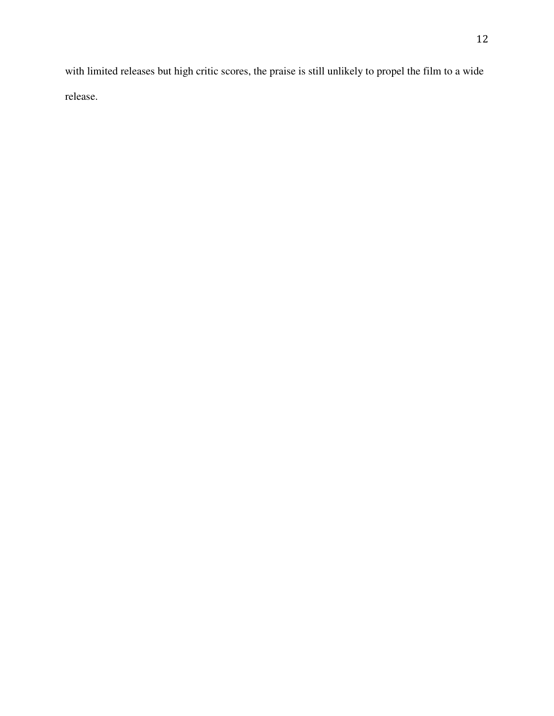with limited releases but high critic scores, the praise is still unlikely to propel the film to a wide release.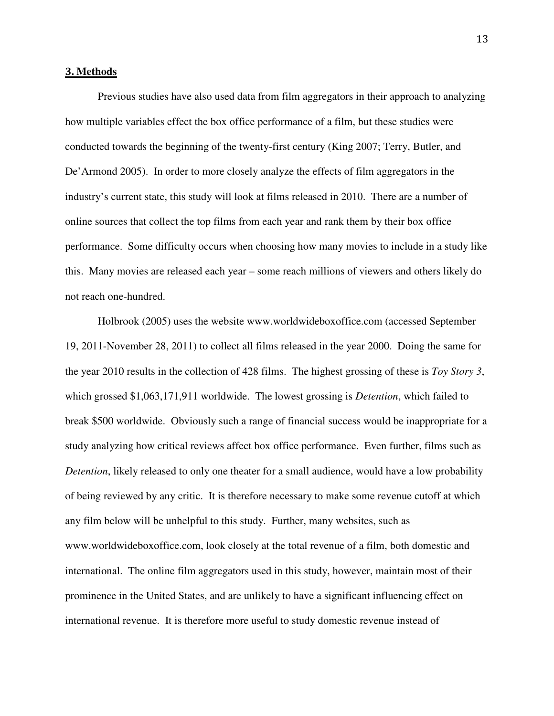#### 3. **Methods**

Previous studies have also used data from film aggregators in their approach to analyzing how multiple variables effect the box office performance of a film, but these studies were conducted towards the beginning of the twenty-first century (King 2007; Terry, Butler, and De'Armond 2005). In order to more closely analyze the effects of film aggregators in the industry's current state, this study will look at films released in 2010. There are a number of online sources that collect the top films from each year and rank them by their box office performance. Some difficulty occurs when choosing how many movies to include in a study like this. Many movies are released each year – some reach millions of viewers and others likely do not reach one-hundred.

Holbrook (2005) uses the website www.worldwideboxoffice.com (accessed September 19, 2011-November 28, 2011) to collect all films released in the year 2000. Doing the same for the year 2010 results in the collection of 428 films. The highest grossing of these is *Toy Story 3*, which grossed \$1,063,171,911 worldwide. The lowest grossing is *Detention*, which failed to break \$500 worldwide. Obviously such a range of financial success would be inappropriate for a study analyzing how critical reviews affect box office performance. Even further, films such as *Detention*, likely released to only one theater for a small audience, would have a low probability of being reviewed by any critic. It is therefore necessary to make some revenue cutoff at which any film below will be unhelpful to this study. Further, many websites, such as www.worldwideboxoffice.com, look closely at the total revenue of a film, both domestic and international. The online film aggregators used in this study, however, maintain most of their prominence in the United States, and are unlikely to have a significant influencing effect on international revenue. It is therefore more useful to study domestic revenue instead of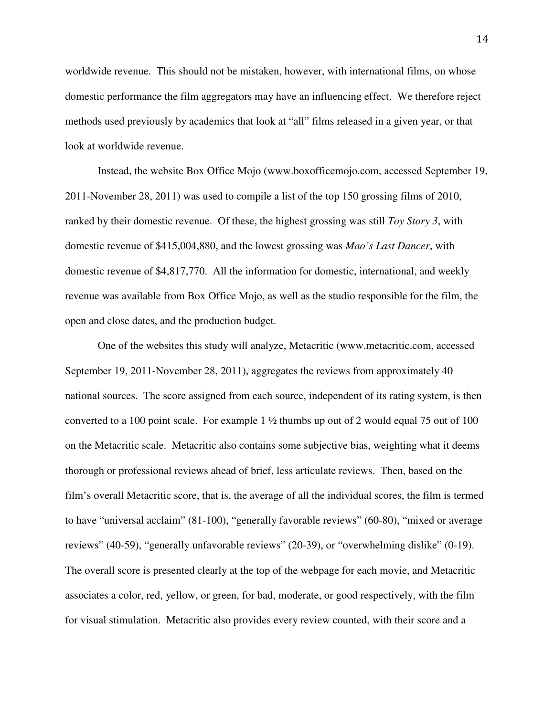worldwide revenue. This should not be mistaken, however, with international films, on whose domestic performance the film aggregators may have an influencing effect. We therefore reject methods used previously by academics that look at "all" films released in a given year, or that look at worldwide revenue.

Instead, the website Box Office Mojo (www.boxofficemojo.com, accessed September 19, 2011-November 28, 2011) was used to compile a list of the top 150 grossing films of 2010, ranked by their domestic revenue. Of these, the highest grossing was still *Toy Story 3*, with domestic revenue of \$415,004,880, and the lowest grossing was *Mao's Last Dancer*, with domestic revenue of \$4,817,770. All the information for domestic, international, and weekly revenue was available from Box Office Mojo, as well as the studio responsible for the film, the open and close dates, and the production budget.

One of the websites this study will analyze, Metacritic (www.metacritic.com, accessed September 19, 2011-November 28, 2011), aggregates the reviews from approximately 40 national sources. The score assigned from each source, independent of its rating system, is then converted to a 100 point scale. For example  $1\frac{1}{2}$  thumbs up out of 2 would equal 75 out of 100 on the Metacritic scale. Metacritic also contains some subjective bias, weighting what it deems thorough or professional reviews ahead of brief, less articulate reviews. Then, based on the film's overall Metacritic score, that is, the average of all the individual scores, the film is termed to have "universal acclaim" (81-100), "generally favorable reviews" (60-80), "mixed or average reviews" (40-59), "generally unfavorable reviews" (20-39), or "overwhelming dislike" (0-19). The overall score is presented clearly at the top of the webpage for each movie, and Metacritic associates a color, red, yellow, or green, for bad, moderate, or good respectively, with the film for visual stimulation. Metacritic also provides every review counted, with their score and a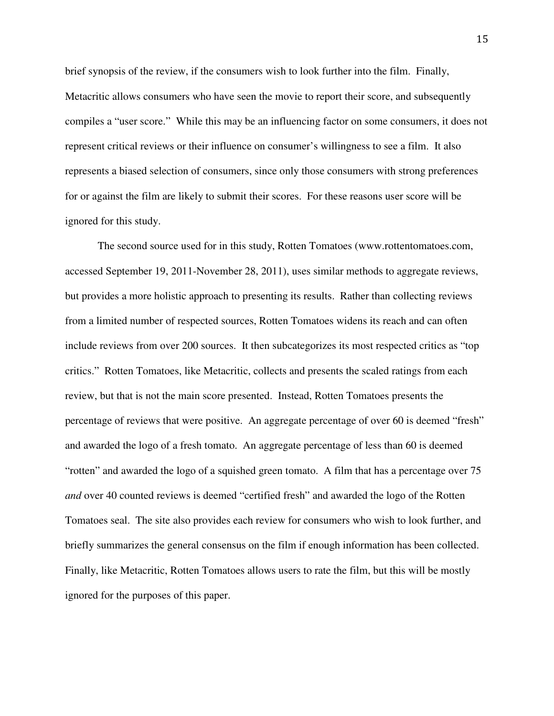brief synopsis of the review, if the consumers wish to look further into the film. Finally, Metacritic allows consumers who have seen the movie to report their score, and subsequently compiles a "user score." While this may be an influencing factor on some consumers, it does not represent critical reviews or their influence on consumer's willingness to see a film. It also represents a biased selection of consumers, since only those consumers with strong preferences for or against the film are likely to submit their scores. For these reasons user score will be ignored for this study.

The second source used for in this study, Rotten Tomatoes (www.rottentomatoes.com, accessed September 19, 2011-November 28, 2011), uses similar methods to aggregate reviews, but provides a more holistic approach to presenting its results. Rather than collecting reviews from a limited number of respected sources, Rotten Tomatoes widens its reach and can often include reviews from over 200 sources. It then subcategorizes its most respected critics as "top critics." Rotten Tomatoes, like Metacritic, collects and presents the scaled ratings from each review, but that is not the main score presented. Instead, Rotten Tomatoes presents the percentage of reviews that were positive. An aggregate percentage of over 60 is deemed "fresh" and awarded the logo of a fresh tomato. An aggregate percentage of less than 60 is deemed "rotten" and awarded the logo of a squished green tomato. A film that has a percentage over 75 *and* over 40 counted reviews is deemed "certified fresh" and awarded the logo of the Rotten Tomatoes seal. The site also provides each review for consumers who wish to look further, and briefly summarizes the general consensus on the film if enough information has been collected. Finally, like Metacritic, Rotten Tomatoes allows users to rate the film, but this will be mostly ignored for the purposes of this paper.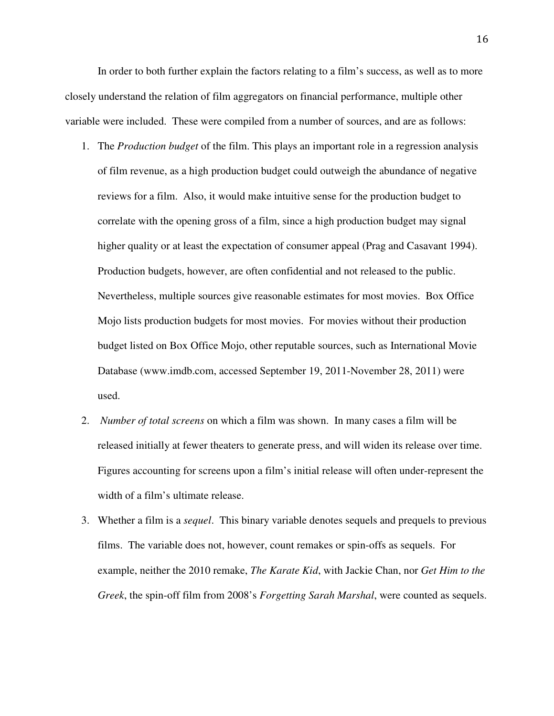In order to both further explain the factors relating to a film's success, as well as to more closely understand the relation of film aggregators on financial performance, multiple other variable were included. These were compiled from a number of sources, and are as follows:

- 1. The *Production budget* of the film. This plays an important role in a regression analysis of film revenue, as a high production budget could outweigh the abundance of negative reviews for a film. Also, it would make intuitive sense for the production budget to correlate with the opening gross of a film, since a high production budget may signal higher quality or at least the expectation of consumer appeal (Prag and Casavant 1994). Production budgets, however, are often confidential and not released to the public. Nevertheless, multiple sources give reasonable estimates for most movies. Box Office Mojo lists production budgets for most movies. For movies without their production budget listed on Box Office Mojo, other reputable sources, such as International Movie Database (www.imdb.com, accessed September 19, 2011-November 28, 2011) were used.
- 2. *Number of total screens* on which a film was shown. In many cases a film will be released initially at fewer theaters to generate press, and will widen its release over time. Figures accounting for screens upon a film's initial release will often under-represent the width of a film's ultimate release.
- 3. Whether a film is a *sequel*. This binary variable denotes sequels and prequels to previous films. The variable does not, however, count remakes or spin-offs as sequels. For example, neither the 2010 remake, *The Karate Kid*, with Jackie Chan, nor *Get Him to the Greek*, the spin-off film from 2008's *Forgetting Sarah Marshal*, were counted as sequels.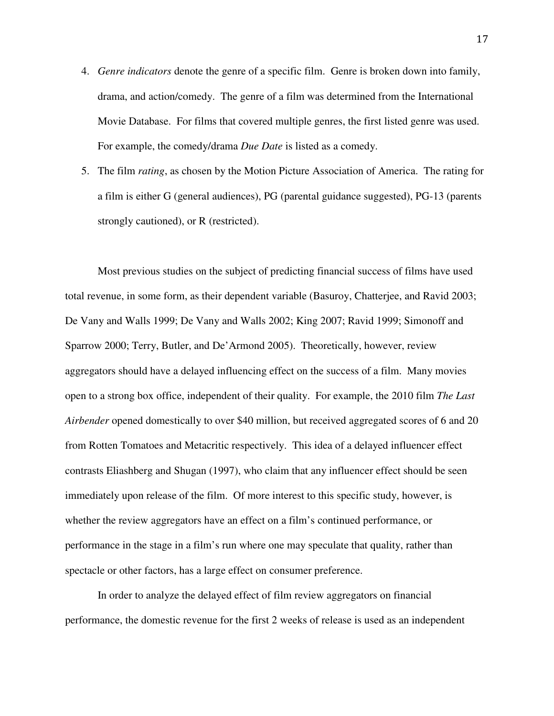- 4. *Genre indicators* denote the genre of a specific film. Genre is broken down into family, drama, and action/comedy. The genre of a film was determined from the International Movie Database. For films that covered multiple genres, the first listed genre was used. For example, the comedy/drama *Due Date* is listed as a comedy.
- 5. The film *rating*, as chosen by the Motion Picture Association of America. The rating for a film is either G (general audiences), PG (parental guidance suggested), PG-13 (parents strongly cautioned), or R (restricted).

Most previous studies on the subject of predicting financial success of films have used total revenue, in some form, as their dependent variable (Basuroy, Chatterjee, and Ravid 2003; De Vany and Walls 1999; De Vany and Walls 2002; King 2007; Ravid 1999; Simonoff and Sparrow 2000; Terry, Butler, and De'Armond 2005). Theoretically, however, review aggregators should have a delayed influencing effect on the success of a film. Many movies open to a strong box office, independent of their quality. For example, the 2010 film *The Last Airbender* opened domestically to over \$40 million, but received aggregated scores of 6 and 20 from Rotten Tomatoes and Metacritic respectively. This idea of a delayed influencer effect contrasts Eliashberg and Shugan (1997), who claim that any influencer effect should be seen immediately upon release of the film. Of more interest to this specific study, however, is whether the review aggregators have an effect on a film's continued performance, or performance in the stage in a film's run where one may speculate that quality, rather than spectacle or other factors, has a large effect on consumer preference.

In order to analyze the delayed effect of film review aggregators on financial performance, the domestic revenue for the first 2 weeks of release is used as an independent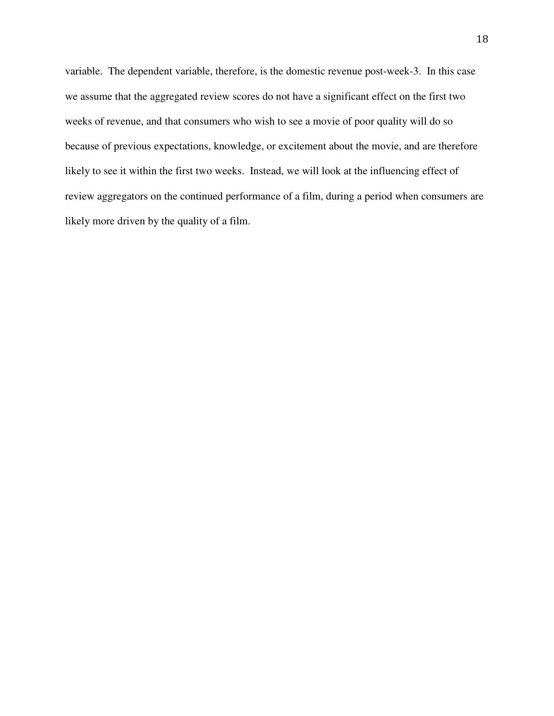variable. The dependent variable, therefore, is the domestic revenue post-week-3. In this case we assume that the aggregated review scores do not have a significant effect on the first two weeks of revenue, and that consumers who wish to see a movie of poor quality will do so because of previous expectations, knowledge, or excitement about the movie, and are therefore likely to see it within the first two weeks. Instead, we will look at the influencing effect of review aggregators on the continued performance of a film, during a period when consumers are likely more driven by the quality of a film.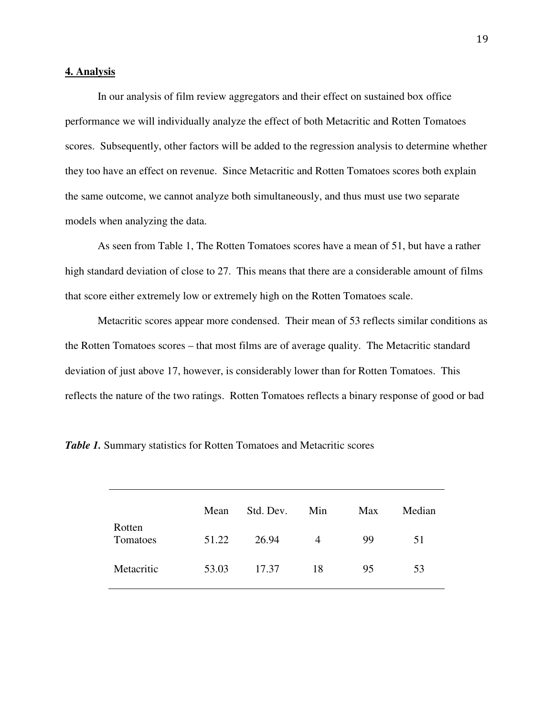#### **4. Analysis**

 In our analysis of film review aggregators and their effect on sustained box office performance we will individually analyze the effect of both Metacritic and Rotten Tomatoes scores. Subsequently, other factors will be added to the regression analysis to determine whether they too have an effect on revenue. Since Metacritic and Rotten Tomatoes scores both explain the same outcome, we cannot analyze both simultaneously, and thus must use two separate models when analyzing the data.

 As seen from Table 1, The Rotten Tomatoes scores have a mean of 51, but have a rather high standard deviation of close to 27. This means that there are a considerable amount of films that score either extremely low or extremely high on the Rotten Tomatoes scale.

Metacritic scores appear more condensed. Their mean of 53 reflects similar conditions as the Rotten Tomatoes scores – that most films are of average quality. The Metacritic standard deviation of just above 17, however, is considerably lower than for Rotten Tomatoes. This reflects the nature of the two ratings. Rotten Tomatoes reflects a binary response of good or bad

|                    | Mean  | Std. Dev. | Min | Max | Median |
|--------------------|-------|-----------|-----|-----|--------|
| Rotten<br>Tomatoes | 51.22 | 26.94     | 4   | 99  | 51     |
| Metacritic         | 53.03 | 17.37     | 18  | 95  | 53     |

*Table 1.* Summary statistics for Rotten Tomatoes and Metacritic scores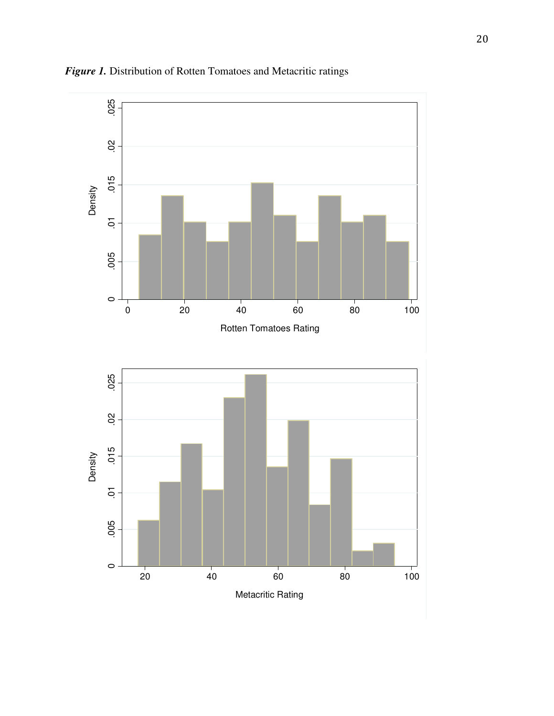

*Figure 1.* Distribution of Rotten Tomatoes and Metacritic ratings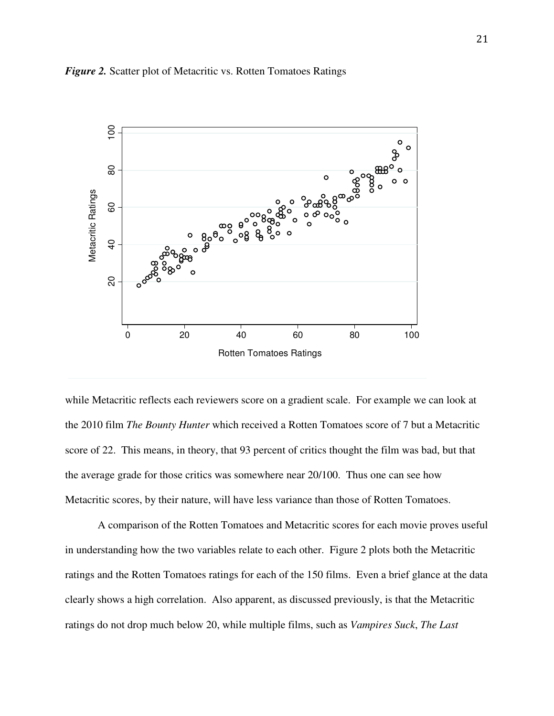



while Metacritic reflects each reviewers score on a gradient scale. For example we can look at the 2010 film *The Bounty Hunter* which received a Rotten Tomatoes score of 7 but a Metacritic score of 22. This means, in theory, that 93 percent of critics thought the film was bad, but that the average grade for those critics was somewhere near 20/100. Thus one can see how Metacritic scores, by their nature, will have less variance than those of Rotten Tomatoes.

 A comparison of the Rotten Tomatoes and Metacritic scores for each movie proves useful in understanding how the two variables relate to each other. Figure 2 plots both the Metacritic ratings and the Rotten Tomatoes ratings for each of the 150 films. Even a brief glance at the data clearly shows a high correlation. Also apparent, as discussed previously, is that the Metacritic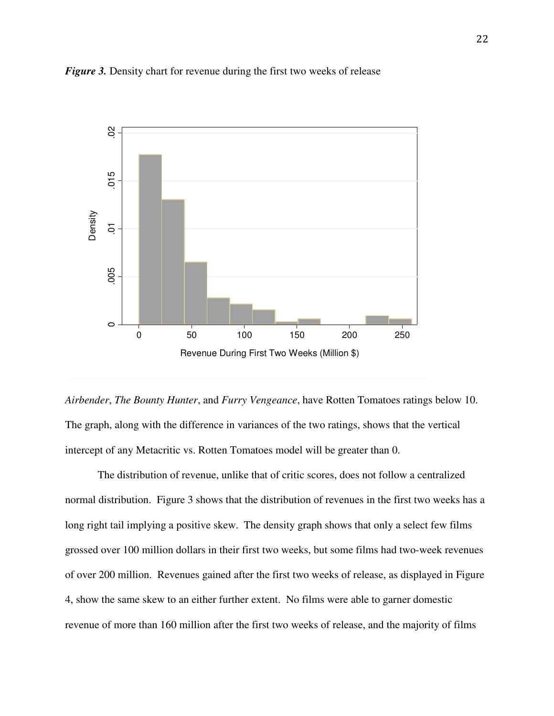





 The distribution of revenue, unlike that of critic scores, does not follow a centralized normal distribution. Figure 3 shows that the distribution of revenues in the first two weeks has a long right tail implying a positive skew. The density graph shows that only a select few films grossed over 100 million dollars in their first two weeks, but some films had two-week revenues of over 200 million. Revenues gained after the first two weeks of release, as displayed in Figure 4, show the same skew to an either further extent. No films were able to garner domestic revenue of more than 160 million after the first two weeks of release, and the majority of films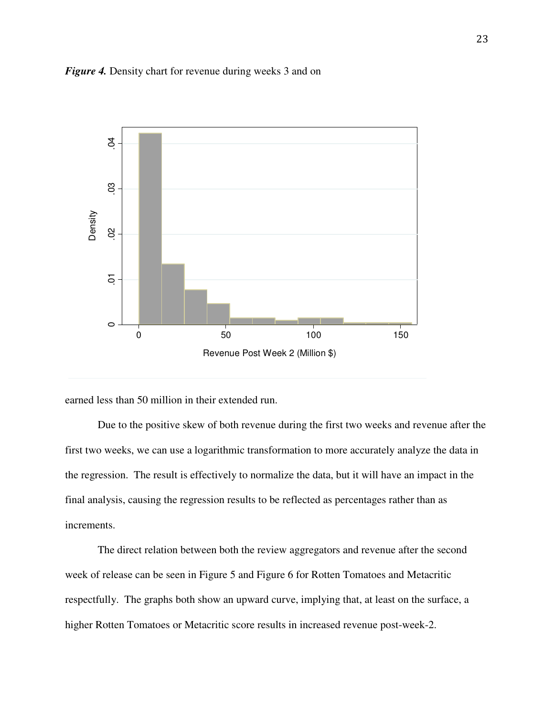



earned less than 50 million in their extended run.

 Due to the positive skew of both revenue during the first two weeks and revenue after the first two weeks, we can use a logarithmic transformation to more accurately analyze the data in the regression. The result is effectively to normalize the data, but it will have an impact in the final analysis, causing the regression results to be reflected as percentages rather than as increments.

 The direct relation between both the review aggregators and revenue after the second week of release can be seen in Figure 5 and Figure 6 for Rotten Tomatoes and Metacritic respectfully. The graphs both show an upward curve, implying that, at least on the surface, a higher Rotten Tomatoes or Metacritic score results in increased revenue post-week-2.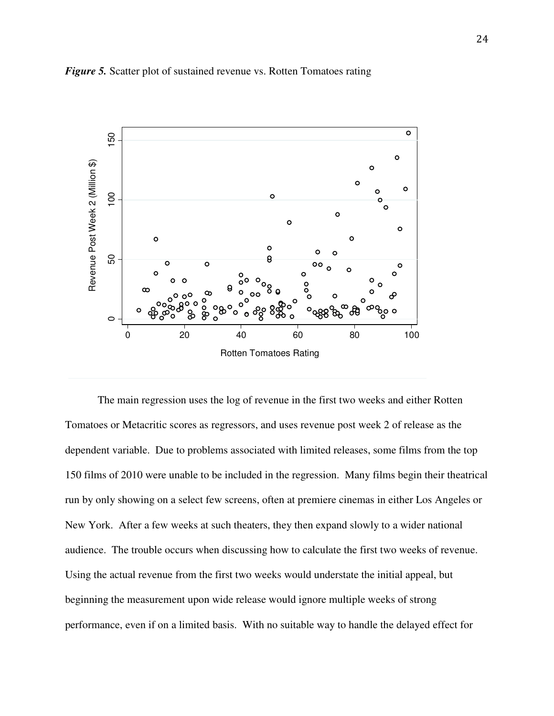

*Figure 5.* Scatter plot of sustained revenue vs. Rotten Tomatoes rating

The main regression uses the log of revenue in the first two weeks and either Rotten Tomatoes or Metacritic scores as regressors, and uses revenue post week 2 of release as the dependent variable. Due to problems associated with limited releases, some films from the top 150 films of 2010 were unable to be included in the regression. Many films begin their theatrical run by only showing on a select few screens, often at premiere cinemas in either Los Angeles or New York. After a few weeks at such theaters, they then expand slowly to a wider national audience. The trouble occurs when discussing how to calculate the first two weeks of revenue. Using the actual revenue from the first two weeks would understate the initial appeal, but beginning the measurement upon wide release would ignore multiple weeks of strong performance, even if on a limited basis. With no suitable way to handle the delayed effect for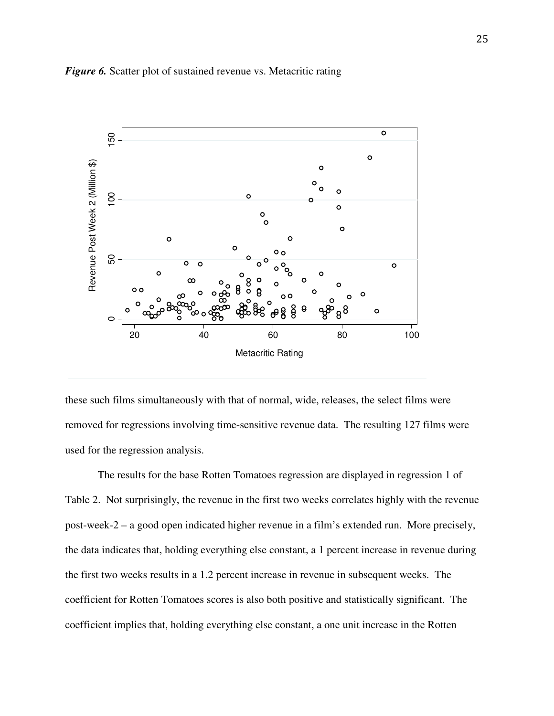

#### *Figure 6.* Scatter plot of sustained revenue vs. Metacritic rating

these such films simultaneously with that of normal, wide, releases, the select films were removed for regressions involving time-sensitive revenue data. The resulting 127 films were used for the regression analysis.

The results for the base Rotten Tomatoes regression are displayed in regression 1 of Table 2. Not surprisingly, the revenue in the first two weeks correlates highly with the revenue post-week-2 – a good open indicated higher revenue in a film's extended run. More precisely, the data indicates that, holding everything else constant, a 1 percent increase in revenue during the first two weeks results in a 1.2 percent increase in revenue in subsequent weeks. The coefficient for Rotten Tomatoes scores is also both positive and statistically significant. The coefficient implies that, holding everything else constant, a one unit increase in the Rotten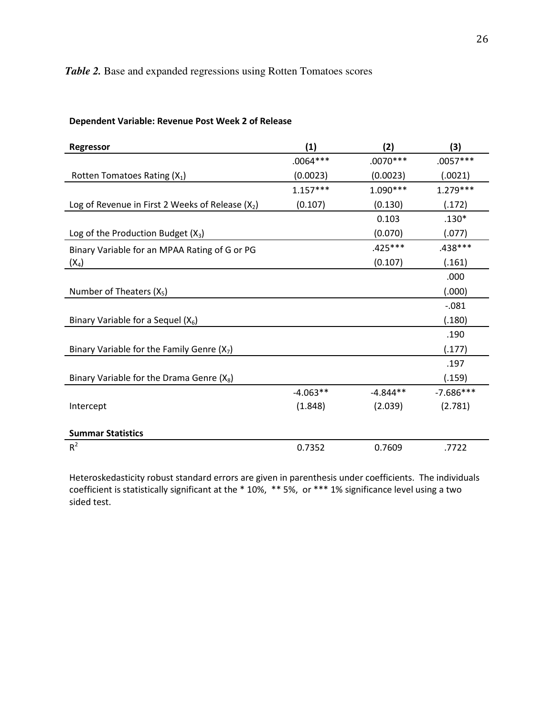# *Table 2.* Base and expanded regressions using Rotten Tomatoes scores

| Regressor                                          | (1)        | (2)        | (3)         |
|----------------------------------------------------|------------|------------|-------------|
|                                                    | $.0064***$ | $.0070***$ | $.0057***$  |
| Rotten Tomatoes Rating $(X_1)$                     | (0.0023)   | (0.0023)   | (.0021)     |
|                                                    | $1.157***$ | $1.090***$ | $1.279***$  |
| Log of Revenue in First 2 Weeks of Release $(X_2)$ | (0.107)    | (0.130)    | (.172)      |
|                                                    |            | 0.103      | $.130*$     |
| Log of the Production Budget $(X_3)$               |            | (0.070)    | (.077)      |
| Binary Variable for an MPAA Rating of G or PG      |            | .425 ***   | .438***     |
| $(X_4)$                                            |            | (0.107)    | (.161)      |
|                                                    |            |            | .000        |
| Number of Theaters $(X_5)$                         |            |            | (.000)      |
|                                                    |            |            | $-0.081$    |
| Binary Variable for a Sequel $(X_6)$               |            |            | (.180)      |
|                                                    |            |            | .190        |
| Binary Variable for the Family Genre $(X_7)$       |            |            | (.177)      |
|                                                    |            |            | .197        |
| Binary Variable for the Drama Genre $(X_8)$        |            |            | (.159)      |
|                                                    | $-4.063**$ | $-4.844**$ | $-7.686***$ |
| Intercept                                          | (1.848)    | (2.039)    | (2.781)     |
|                                                    |            |            |             |
| <b>Summar Statistics</b>                           |            |            |             |
| $R^2$                                              | 0.7352     | 0.7609     | .7722       |

# Dependent Variable: Revenue Post Week 2 of Release

Heteroskedasticity robust standard errors are given in parenthesis under coefficients. The individuals coefficient is statistically significant at the \* 10%, \*\* 5%, or \*\*\* 1% significance level using a two sided test.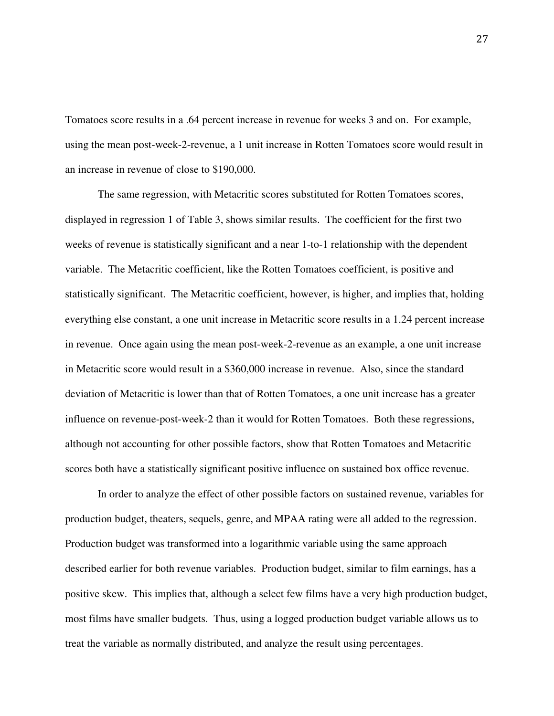Tomatoes score results in a .64 percent increase in revenue for weeks 3 and on. For example, using the mean post-week-2-revenue, a 1 unit increase in Rotten Tomatoes score would result in an increase in revenue of close to \$190,000.

The same regression, with Metacritic scores substituted for Rotten Tomatoes scores, displayed in regression 1 of Table 3, shows similar results. The coefficient for the first two weeks of revenue is statistically significant and a near 1-to-1 relationship with the dependent variable. The Metacritic coefficient, like the Rotten Tomatoes coefficient, is positive and statistically significant. The Metacritic coefficient, however, is higher, and implies that, holding everything else constant, a one unit increase in Metacritic score results in a 1.24 percent increase in revenue. Once again using the mean post-week-2-revenue as an example, a one unit increase in Metacritic score would result in a \$360,000 increase in revenue. Also, since the standard deviation of Metacritic is lower than that of Rotten Tomatoes, a one unit increase has a greater influence on revenue-post-week-2 than it would for Rotten Tomatoes. Both these regressions, although not accounting for other possible factors, show that Rotten Tomatoes and Metacritic scores both have a statistically significant positive influence on sustained box office revenue.

 In order to analyze the effect of other possible factors on sustained revenue, variables for production budget, theaters, sequels, genre, and MPAA rating were all added to the regression. Production budget was transformed into a logarithmic variable using the same approach described earlier for both revenue variables. Production budget, similar to film earnings, has a positive skew. This implies that, although a select few films have a very high production budget, most films have smaller budgets. Thus, using a logged production budget variable allows us to treat the variable as normally distributed, and analyze the result using percentages.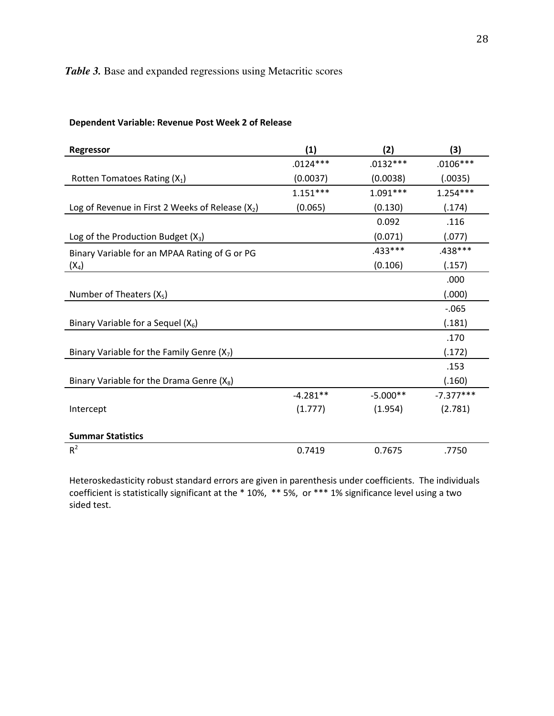# *Table 3.* Base and expanded regressions using Metacritic scores

| Regressor                                          | (1)        | (2)        | (3)         |
|----------------------------------------------------|------------|------------|-------------|
|                                                    | $.0124***$ | $.0132***$ | $.0106***$  |
| Rotten Tomatoes Rating (X <sub>1</sub> )           | (0.0037)   | (0.0038)   | (.0035)     |
|                                                    | $1.151***$ | $1.091***$ | $1.254***$  |
| Log of Revenue in First 2 Weeks of Release $(X_2)$ | (0.065)    | (0.130)    | (.174)      |
|                                                    |            | 0.092      | .116        |
| Log of the Production Budget $(X_3)$               |            | (0.071)    | (.077)      |
| Binary Variable for an MPAA Rating of G or PG      |            | .433 ***   | .438***     |
| $(X_4)$                                            |            | (0.106)    | (.157)      |
|                                                    |            |            | .000        |
| Number of Theaters $(X_5)$                         |            |            | (.000)      |
|                                                    |            |            | $-0.065$    |
| Binary Variable for a Sequel $(X_6)$               |            |            | (.181)      |
|                                                    |            |            | .170        |
| Binary Variable for the Family Genre $(X_7)$       |            |            | (.172)      |
|                                                    |            |            | .153        |
| Binary Variable for the Drama Genre $(X_8)$        |            |            | (.160)      |
|                                                    | $-4.281**$ | $-5.000**$ | $-7.377***$ |
| Intercept                                          | (1.777)    | (1.954)    | (2.781)     |
|                                                    |            |            |             |
| <b>Summar Statistics</b>                           |            |            |             |
| $R^2$                                              | 0.7419     | 0.7675     | .7750       |

#### Dependent Variable: Revenue Post Week 2 of Release

Heteroskedasticity robust standard errors are given in parenthesis under coefficients. The individuals coefficient is statistically significant at the \* 10%, \*\* 5%, or \*\*\* 1% significance level using a two sided test.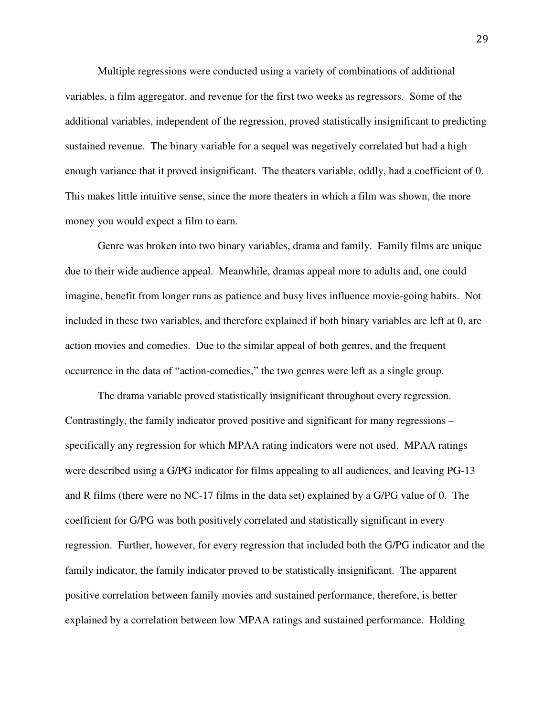Multiple regressions were conducted using a variety of combinations of additional variables, a film aggregator, and revenue for the first two weeks as regressors. Some of the additional variables, independent of the regression, proved statistically insignificant to predicting sustained revenue. The binary variable for a sequel was negetively correlated but had a high enough variance that it proved insignificant. The theaters variable, oddly, had a coefficient of 0. This makes little intuitive sense, since the more theaters in which a film was shown, the more money you would expect a film to earn.

Genre was broken into two binary variables, drama and family. Family films are unique due to their wide audience appeal. Meanwhile, dramas appeal more to adults and, one could imagine, benefit from longer runs as patience and busy lives influence movie-going habits. Not included in these two variables, and therefore explained if both binary variables are left at 0, are action movies and comedies. Due to the similar appeal of both genres, and the frequent occurrence in the data of "action-comedies," the two genres were left as a single group.

The drama variable proved statistically insignificant throughout every regression. Contrastingly, the family indicator proved positive and significant for many regressions – specifically any regression for which MPAA rating indicators were not used. MPAA ratings were described using a G/PG indicator for films appealing to all audiences, and leaving PG-13 and R films (there were no NC-17 films in the data set) explained by a G/PG value of 0. The coefficient for G/PG was both positively correlated and statistically significant in every regression. Further, however, for every regression that included both the G/PG indicator and the family indicator, the family indicator proved to be statistically insignificant. The apparent positive correlation between family movies and sustained performance, therefore, is better explained by a correlation between low MPAA ratings and sustained performance. Holding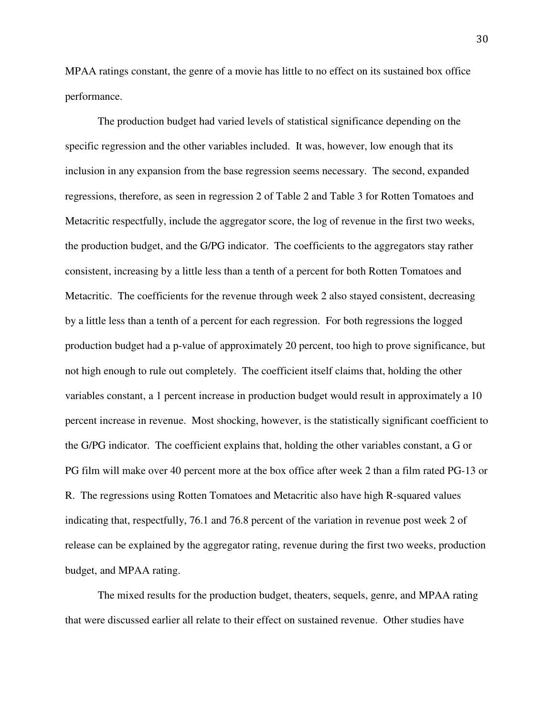MPAA ratings constant, the genre of a movie has little to no effect on its sustained box office performance.

The production budget had varied levels of statistical significance depending on the specific regression and the other variables included. It was, however, low enough that its inclusion in any expansion from the base regression seems necessary. The second, expanded regressions, therefore, as seen in regression 2 of Table 2 and Table 3 for Rotten Tomatoes and Metacritic respectfully, include the aggregator score, the log of revenue in the first two weeks, the production budget, and the G/PG indicator. The coefficients to the aggregators stay rather consistent, increasing by a little less than a tenth of a percent for both Rotten Tomatoes and Metacritic. The coefficients for the revenue through week 2 also stayed consistent, decreasing by a little less than a tenth of a percent for each regression. For both regressions the logged production budget had a p-value of approximately 20 percent, too high to prove significance, but not high enough to rule out completely. The coefficient itself claims that, holding the other variables constant, a 1 percent increase in production budget would result in approximately a 10 percent increase in revenue. Most shocking, however, is the statistically significant coefficient to the G/PG indicator. The coefficient explains that, holding the other variables constant, a G or PG film will make over 40 percent more at the box office after week 2 than a film rated PG-13 or R. The regressions using Rotten Tomatoes and Metacritic also have high R-squared values indicating that, respectfully, 76.1 and 76.8 percent of the variation in revenue post week 2 of release can be explained by the aggregator rating, revenue during the first two weeks, production budget, and MPAA rating.

The mixed results for the production budget, theaters, sequels, genre, and MPAA rating that were discussed earlier all relate to their effect on sustained revenue. Other studies have

30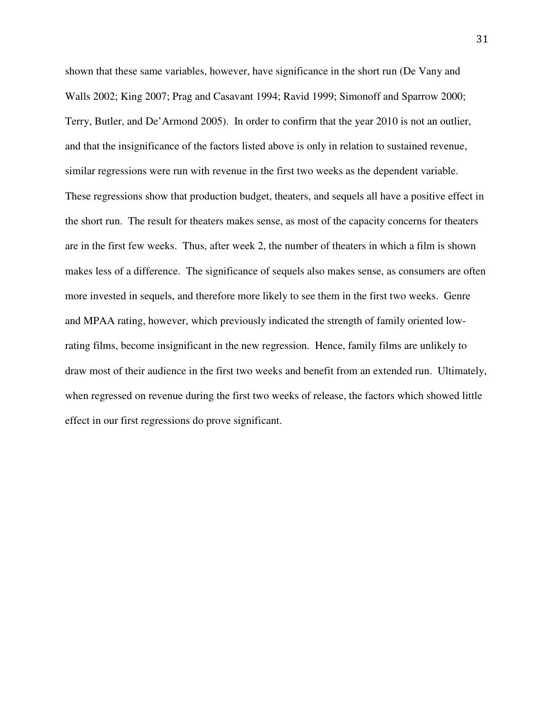shown that these same variables, however, have significance in the short run (De Vany and Walls 2002; King 2007; Prag and Casavant 1994; Ravid 1999; Simonoff and Sparrow 2000; Terry, Butler, and De'Armond 2005). In order to confirm that the year 2010 is not an outlier, and that the insignificance of the factors listed above is only in relation to sustained revenue, similar regressions were run with revenue in the first two weeks as the dependent variable. These regressions show that production budget, theaters, and sequels all have a positive effect in the short run. The result for theaters makes sense, as most of the capacity concerns for theaters are in the first few weeks. Thus, after week 2, the number of theaters in which a film is shown makes less of a difference. The significance of sequels also makes sense, as consumers are often more invested in sequels, and therefore more likely to see them in the first two weeks. Genre and MPAA rating, however, which previously indicated the strength of family oriented lowrating films, become insignificant in the new regression. Hence, family films are unlikely to draw most of their audience in the first two weeks and benefit from an extended run. Ultimately, when regressed on revenue during the first two weeks of release, the factors which showed little effect in our first regressions do prove significant.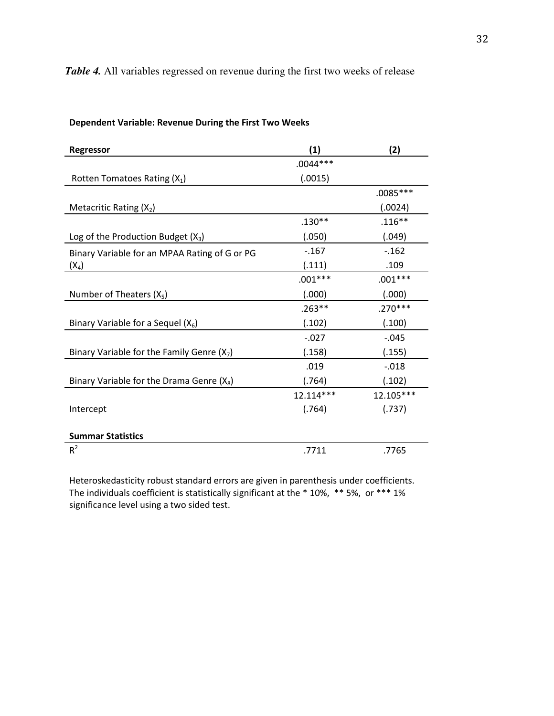# *Table 4.* All variables regressed on revenue during the first two weeks of release

| Regressor                                     | (1)        | (2)        |
|-----------------------------------------------|------------|------------|
|                                               | $.0044***$ |            |
| Rotten Tomatoes Rating $(X_1)$                | (.0015)    |            |
|                                               |            | $.0085***$ |
| Metacritic Rating $(X_2)$                     |            | (.0024)    |
|                                               | $.130**$   | $.116***$  |
| Log of the Production Budget $(X_3)$          | (.050)     | (.049)     |
| Binary Variable for an MPAA Rating of G or PG | $-0.167$   | $-0.162$   |
| $(X_4)$                                       | (.111)     | .109       |
|                                               | $.001***$  | $.001***$  |
| Number of Theaters $(X_5)$                    | (.000)     | (.000)     |
|                                               | $.263**$   | $.270***$  |
| Binary Variable for a Sequel $(X_6)$          | (.102)     | (.100)     |
|                                               | $-.027$    | $-0.045$   |
| Binary Variable for the Family Genre $(X_7)$  | (.158)     | (.155)     |
|                                               | .019       | $-0.018$   |
| Binary Variable for the Drama Genre $(X_8)$   | (.764)     | (.102)     |
|                                               | 12.114***  | 12.105***  |
| Intercept                                     | (.764)     | (.737)     |
|                                               |            |            |
| <b>Summar Statistics</b>                      |            |            |
| $R^2$                                         | .7711      | .7765      |

#### Dependent Variable: Revenue During the First Two Weeks

Heteroskedasticity robust standard errors are given in parenthesis under coefficients. The individuals coefficient is statistically significant at the \* 10%, \*\* 5%, or \*\*\* 1% significance level using a two sided test.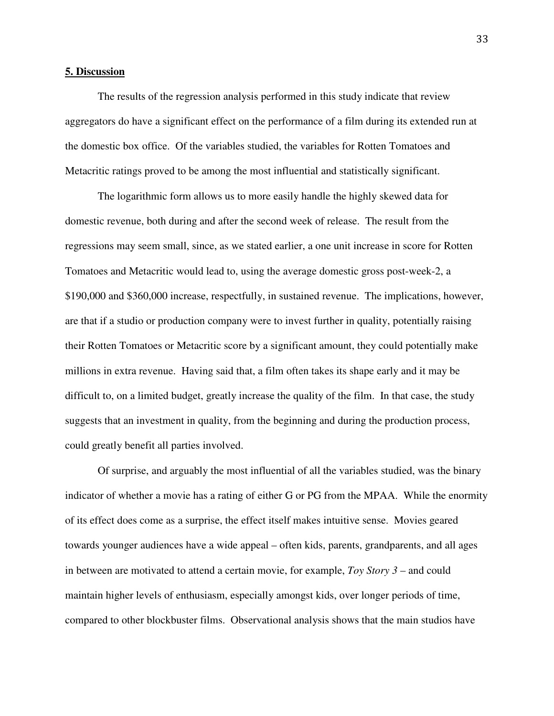#### **5. Discussion**

 The results of the regression analysis performed in this study indicate that review aggregators do have a significant effect on the performance of a film during its extended run at the domestic box office. Of the variables studied, the variables for Rotten Tomatoes and Metacritic ratings proved to be among the most influential and statistically significant.

 The logarithmic form allows us to more easily handle the highly skewed data for domestic revenue, both during and after the second week of release. The result from the regressions may seem small, since, as we stated earlier, a one unit increase in score for Rotten Tomatoes and Metacritic would lead to, using the average domestic gross post-week-2, a \$190,000 and \$360,000 increase, respectfully, in sustained revenue. The implications, however, are that if a studio or production company were to invest further in quality, potentially raising their Rotten Tomatoes or Metacritic score by a significant amount, they could potentially make millions in extra revenue. Having said that, a film often takes its shape early and it may be difficult to, on a limited budget, greatly increase the quality of the film. In that case, the study suggests that an investment in quality, from the beginning and during the production process, could greatly benefit all parties involved.

 Of surprise, and arguably the most influential of all the variables studied, was the binary indicator of whether a movie has a rating of either G or PG from the MPAA. While the enormity of its effect does come as a surprise, the effect itself makes intuitive sense. Movies geared towards younger audiences have a wide appeal – often kids, parents, grandparents, and all ages in between are motivated to attend a certain movie, for example, *Toy Story 3* – and could maintain higher levels of enthusiasm, especially amongst kids, over longer periods of time, compared to other blockbuster films. Observational analysis shows that the main studios have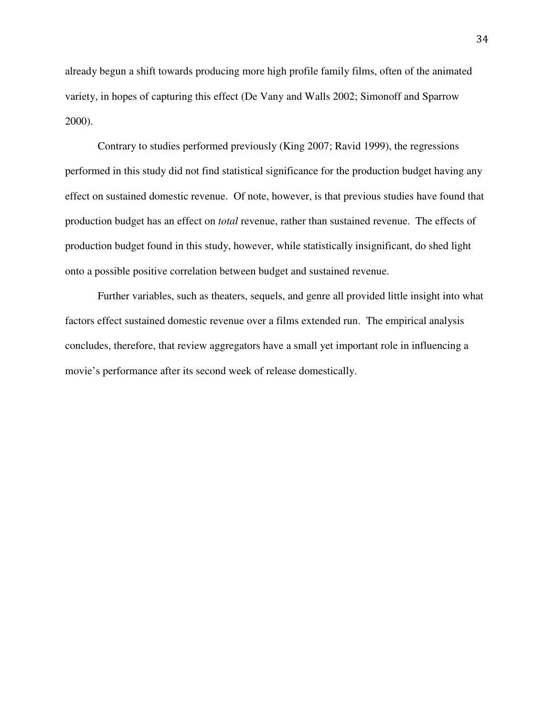already begun a shift towards producing more high profile family films, often of the animated variety, in hopes of capturing this effect (De Vany and Walls 2002; Simonoff and Sparrow 2000).

 Contrary to studies performed previously (King 2007; Ravid 1999), the regressions performed in this study did not find statistical significance for the production budget having any effect on sustained domestic revenue. Of note, however, is that previous studies have found that production budget has an effect on *total* revenue, rather than sustained revenue. The effects of production budget found in this study, however, while statistically insignificant, do shed light onto a possible positive correlation between budget and sustained revenue.

 Further variables, such as theaters, sequels, and genre all provided little insight into what factors effect sustained domestic revenue over a films extended run. The empirical analysis concludes, therefore, that review aggregators have a small yet important role in influencing a movie's performance after its second week of release domestically.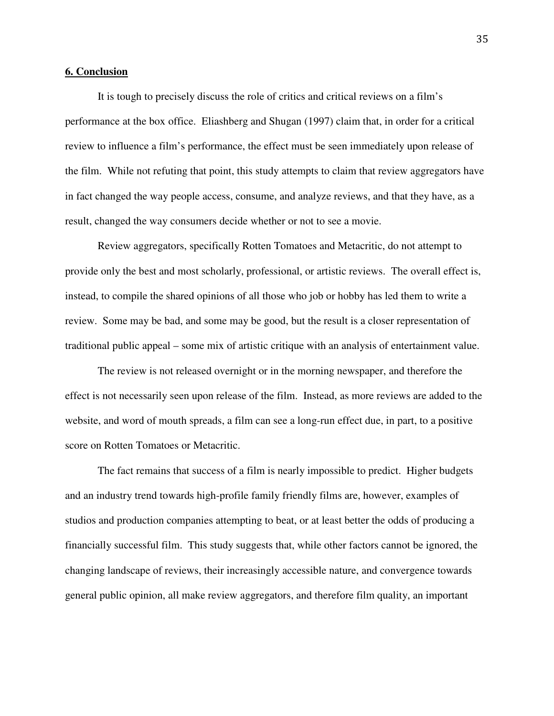#### **6. Conclusion**

 It is tough to precisely discuss the role of critics and critical reviews on a film's performance at the box office. Eliashberg and Shugan (1997) claim that, in order for a critical review to influence a film's performance, the effect must be seen immediately upon release of the film. While not refuting that point, this study attempts to claim that review aggregators have in fact changed the way people access, consume, and analyze reviews, and that they have, as a result, changed the way consumers decide whether or not to see a movie.

 Review aggregators, specifically Rotten Tomatoes and Metacritic, do not attempt to provide only the best and most scholarly, professional, or artistic reviews. The overall effect is, instead, to compile the shared opinions of all those who job or hobby has led them to write a review. Some may be bad, and some may be good, but the result is a closer representation of traditional public appeal – some mix of artistic critique with an analysis of entertainment value.

 The review is not released overnight or in the morning newspaper, and therefore the effect is not necessarily seen upon release of the film. Instead, as more reviews are added to the website, and word of mouth spreads, a film can see a long-run effect due, in part, to a positive score on Rotten Tomatoes or Metacritic.

 The fact remains that success of a film is nearly impossible to predict. Higher budgets and an industry trend towards high-profile family friendly films are, however, examples of studios and production companies attempting to beat, or at least better the odds of producing a financially successful film. This study suggests that, while other factors cannot be ignored, the changing landscape of reviews, their increasingly accessible nature, and convergence towards general public opinion, all make review aggregators, and therefore film quality, an important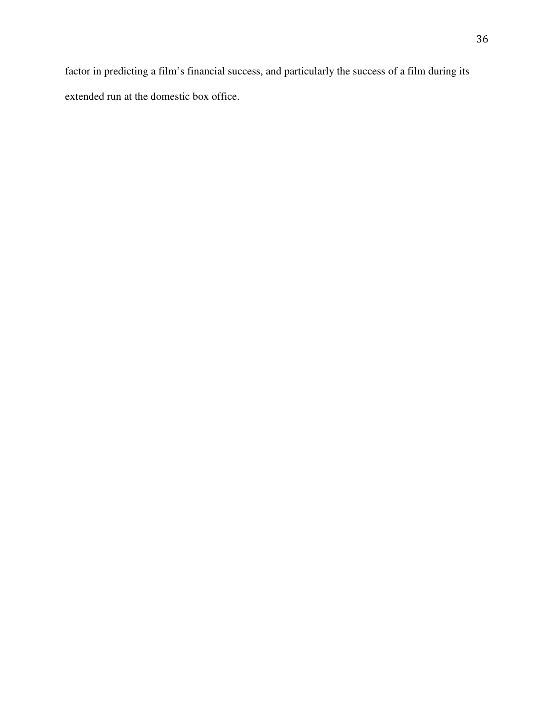factor in predicting a film's financial success, and particularly the success of a film during its extended run at the domestic box office.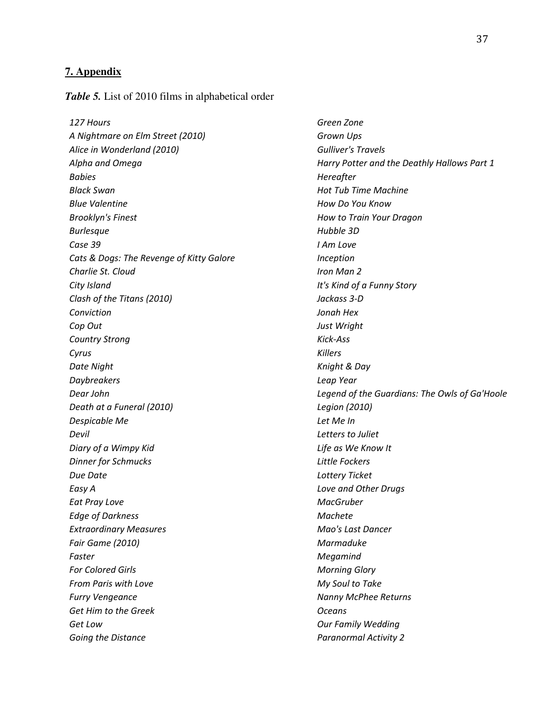#### **7. Appendix**

*Table 5.* List of 2010 films in alphabetical order

127 Hours Green Zone A Nightmare on Elm Street (2010) Grown Ups Alice in Wonderland (2010) Gulliver's Travels Babies **Babies** Hereafter Black Swan **Hot Tub Time Machine** Blue Valentine **How Do You Know** Brooklyn's Finest **How to Train Your Dragon** Burlesque **Burlesque Hubble 3D** Case 39 I Am Love Cats & Dogs: The Revenge of Kitty Galore **Inception** Charlie St. Cloud **Iron Man 2** City Island City Island City Island Clash of the Titans (2010) Jackass 3-D Conviction Jonah Hex Cop Out Just Wright Country Strong Kick-Ass Cyrus **Changes Cyrus** Killers Date Night **Knight & Day** Daybreakers Leap Year Death at a Funeral (2010) Legion (2010) Despicable Me Let Me In Devil Letters to Juliet Diary of a Wimpy Kid **Life as We Know It Dinner for Schmucks Little Fockers** Due Date Lottery Ticket Easy A Love and Other Drugs Eat Pray Love **MacGruber** MacGruber Edge of Darkness Machete Extraordinary Measures Mao's Last Dancer Fair Game (2010) **Marmaduke Marmaduke** Marmaduke Faster Megamind For Colored Girls **Morning Glory** From Paris with Love **My Soul to Take** Furry Vengeance **Nanny McPhee Returns** Get Him to the Greek **Community** Community Community Community Community Community Community Community Community Get Low Gaster Communication Control of Control Control Control Control Control Control Our Family Wedding Going the Distance **Paranormal Activity 2** Paranormal Activity 2

Alpha and Omega **Harry Potter and the Deathly Hallows Part 1** Dear John Legend of the Guardians: The Owls of Ga'Hoole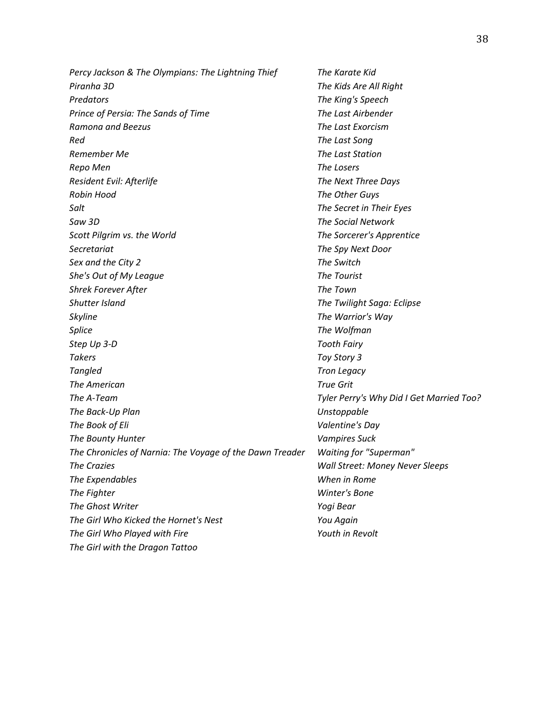Percy Jackson & The Olympians: The Lightning Thief The Karate Kid Piranha 3D The Kids Are All Right Predators **Predators** The King's Speech Prince of Persia: The Sands of Time The Last Airbender Ramona and Beezus The Last Exorcism Red The Last Song Remember Me The Last Station Repo Men The Losers Resident Evil: Afterlife The Next Three Days Robin Hood The Other Guys Salt Salt Secret in Their Eyes Contract of the Secret in Their Eyes Saw 3D **Saw 3D** Saw 3D **The Social Network** Scott Pilgrim vs. the World The Sorcerer's Apprentice Secretariat The Spy Next Door Sex and the City 2 The Switch She's Out of My League The Tourist Shrek Forever After The Town Shutter Island The Twilight Saga: Eclipse Skyline **The Warrior's Way** Splice The Wolfman Step Up 3-D Tooth Fairy Takers Toy Story 3 Tangled Tron Legacy The American True Grit The A-Team Tyler Perry's Why Did I Get Married Too? The Back-Up Plan Unstoppable The Book of Eli **Valentine's Day** The Bounty Hunter **Vampires** Suck The Chronicles of Narnia: The Voyage of the Dawn Treader Waiting for "Superman" The Crazies Wall Street: Money Never Sleeps The Expendables When in Rome The Fighter Winter's Bone The Ghost Writer The Ghost Writer Western Channels and The Ghost Writer The Girl Who Kicked the Hornet's Nest Vou Again The Girl Who Played with Fire The Youth in Revolt The Girl with the Dragon Tattoo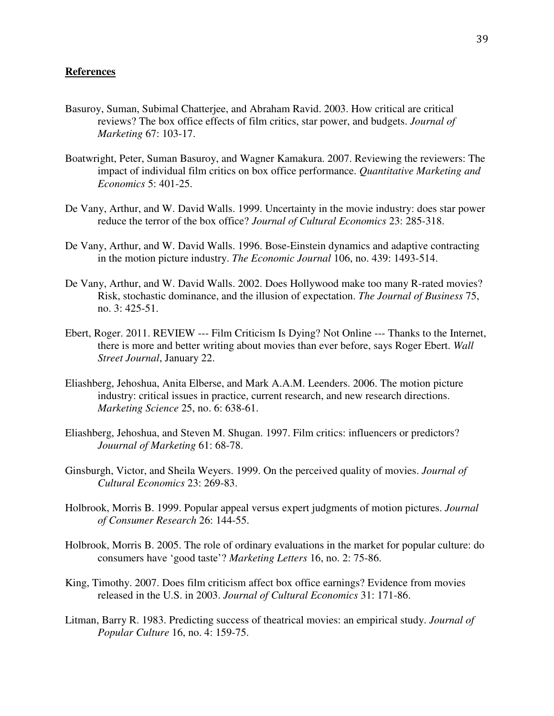#### **References**

- Basuroy, Suman, Subimal Chatterjee, and Abraham Ravid. 2003. How critical are critical reviews? The box office effects of film critics, star power, and budgets. *Journal of Marketing* 67: 103-17.
- Boatwright, Peter, Suman Basuroy, and Wagner Kamakura. 2007. Reviewing the reviewers: The impact of individual film critics on box office performance. *Quantitative Marketing and Economics* 5: 401-25.
- De Vany, Arthur, and W. David Walls. 1999. Uncertainty in the movie industry: does star power reduce the terror of the box office? *Journal of Cultural Economics* 23: 285-318.
- De Vany, Arthur, and W. David Walls. 1996. Bose-Einstein dynamics and adaptive contracting in the motion picture industry. *The Economic Journal* 106, no. 439: 1493-514.
- De Vany, Arthur, and W. David Walls. 2002. Does Hollywood make too many R-rated movies? Risk, stochastic dominance, and the illusion of expectation. *The Journal of Business* 75, no. 3: 425-51.
- Ebert, Roger. 2011. REVIEW --- Film Criticism Is Dying? Not Online --- Thanks to the Internet, there is more and better writing about movies than ever before, says Roger Ebert. *Wall Street Journal*, January 22.
- Eliashberg, Jehoshua, Anita Elberse, and Mark A.A.M. Leenders. 2006. The motion picture industry: critical issues in practice, current research, and new research directions. *Marketing Science* 25, no. 6: 638-61.
- Eliashberg, Jehoshua, and Steven M. Shugan. 1997. Film critics: influencers or predictors? *Jouurnal of Marketing* 61: 68-78.
- Ginsburgh, Victor, and Sheila Weyers. 1999. On the perceived quality of movies. *Journal of Cultural Economics* 23: 269-83.
- Holbrook, Morris B. 1999. Popular appeal versus expert judgments of motion pictures. *Journal of Consumer Research* 26: 144-55.
- Holbrook, Morris B. 2005. The role of ordinary evaluations in the market for popular culture: do consumers have 'good taste'? *Marketing Letters* 16, no. 2: 75-86.
- King, Timothy. 2007. Does film criticism affect box office earnings? Evidence from movies released in the U.S. in 2003. *Journal of Cultural Economics* 31: 171-86.
- Litman, Barry R. 1983. Predicting success of theatrical movies: an empirical study. *Journal of Popular Culture* 16, no. 4: 159-75.